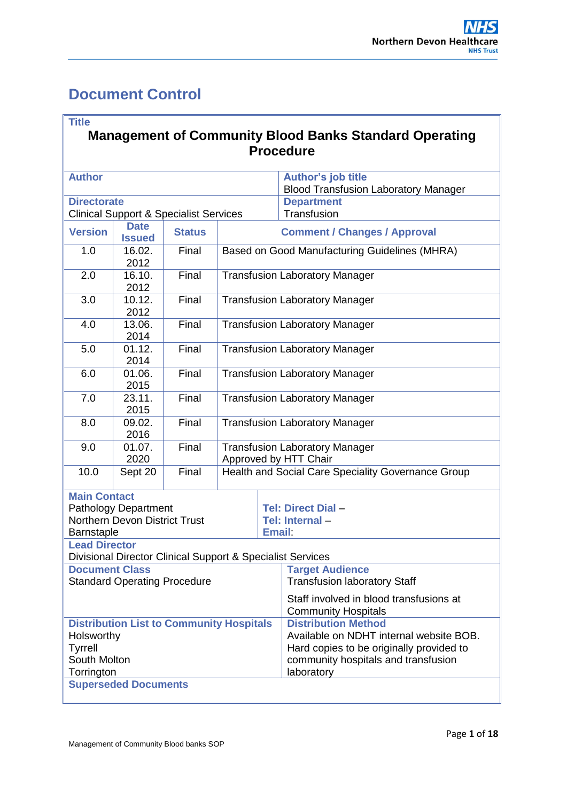# <span id="page-0-0"></span>**Document Control**

'n

| <b>Title</b>                                                                                                  |                                     |                                                            |                                       |                                                                                                                                                                        | <b>Management of Community Blood Banks Standard Operating</b><br><b>Procedure</b> |  |  |
|---------------------------------------------------------------------------------------------------------------|-------------------------------------|------------------------------------------------------------|---------------------------------------|------------------------------------------------------------------------------------------------------------------------------------------------------------------------|-----------------------------------------------------------------------------------|--|--|
| <b>Author</b>                                                                                                 |                                     |                                                            |                                       |                                                                                                                                                                        | <b>Author's job title</b><br><b>Blood Transfusion Laboratory Manager</b>          |  |  |
| <b>Directorate</b><br><b>Clinical Support &amp; Specialist Services</b>                                       |                                     |                                                            |                                       |                                                                                                                                                                        | <b>Department</b><br>Transfusion                                                  |  |  |
| <b>Version</b>                                                                                                | <b>Date</b><br><b>Issued</b>        | <b>Status</b>                                              |                                       |                                                                                                                                                                        | <b>Comment / Changes / Approval</b>                                               |  |  |
| 1.0                                                                                                           | 16.02.<br>2012                      | Final                                                      |                                       |                                                                                                                                                                        | Based on Good Manufacturing Guidelines (MHRA)                                     |  |  |
| 2.0                                                                                                           | 16.10.<br>2012                      | Final                                                      |                                       |                                                                                                                                                                        | <b>Transfusion Laboratory Manager</b>                                             |  |  |
| 3.0                                                                                                           | 10.12.<br>2012                      | Final                                                      |                                       |                                                                                                                                                                        | <b>Transfusion Laboratory Manager</b>                                             |  |  |
| 4.0                                                                                                           | 13.06.<br>2014                      | Final                                                      | <b>Transfusion Laboratory Manager</b> |                                                                                                                                                                        |                                                                                   |  |  |
| 5.0                                                                                                           | 01.12.<br>2014                      | Final                                                      | <b>Transfusion Laboratory Manager</b> |                                                                                                                                                                        |                                                                                   |  |  |
| 6.0                                                                                                           | 01.06.<br>2015                      | Final                                                      | <b>Transfusion Laboratory Manager</b> |                                                                                                                                                                        |                                                                                   |  |  |
| 7.0                                                                                                           | 23.11.<br>2015                      | Final                                                      | <b>Transfusion Laboratory Manager</b> |                                                                                                                                                                        |                                                                                   |  |  |
| 8.0                                                                                                           | 09.02.<br>2016                      | Final                                                      | <b>Transfusion Laboratory Manager</b> |                                                                                                                                                                        |                                                                                   |  |  |
| 9.0                                                                                                           | 01.07.<br>2020                      | Final                                                      |                                       |                                                                                                                                                                        | <b>Transfusion Laboratory Manager</b><br>Approved by HTT Chair                    |  |  |
| 10.0                                                                                                          | Sept 20                             | Final                                                      |                                       |                                                                                                                                                                        | Health and Social Care Speciality Governance Group                                |  |  |
| <b>Main Contact</b><br><b>Pathology Department</b><br><b>Northern Devon District Trust</b><br>Barnstaple      |                                     |                                                            |                                       | <b>Email:</b>                                                                                                                                                          | <b>Tel: Direct Dial -</b><br>Tel: Internal-                                       |  |  |
| <b>Lead Director</b>                                                                                          |                                     | Divisional Director Clinical Support & Specialist Services |                                       |                                                                                                                                                                        |                                                                                   |  |  |
| <b>Document Class</b>                                                                                         | <b>Standard Operating Procedure</b> |                                                            |                                       |                                                                                                                                                                        | <b>Target Audience</b><br><b>Transfusion laboratory Staff</b>                     |  |  |
|                                                                                                               |                                     |                                                            |                                       | Staff involved in blood transfusions at<br><b>Community Hospitals</b>                                                                                                  |                                                                                   |  |  |
| <b>Distribution List to Community Hospitals</b><br>Holsworthy<br><b>Tyrrell</b><br>South Molton<br>Torrington |                                     |                                                            |                                       | <b>Distribution Method</b><br>Available on NDHT internal website BOB.<br>Hard copies to be originally provided to<br>community hospitals and transfusion<br>laboratory |                                                                                   |  |  |
|                                                                                                               | <b>Superseded Documents</b>         |                                                            |                                       |                                                                                                                                                                        |                                                                                   |  |  |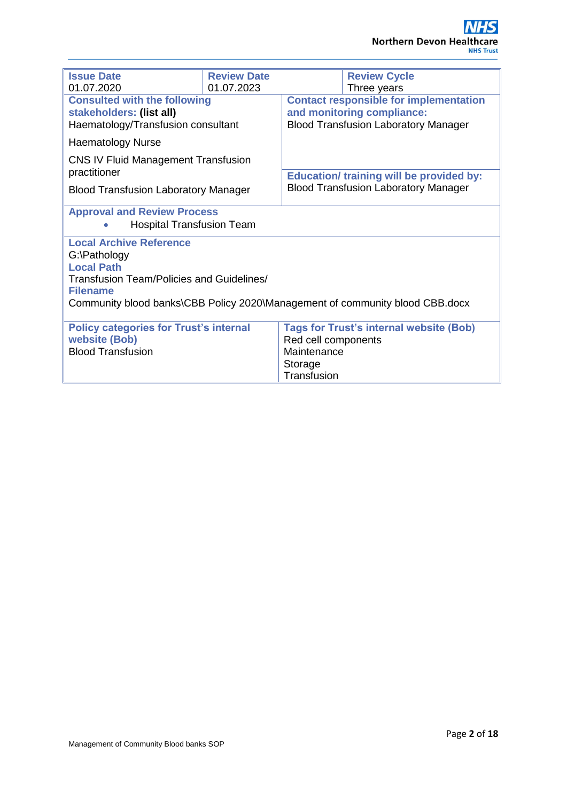| <b>Issue Date</b>                                                            | <b>Review Date</b> |                     | <b>Review Cycle</b>                             |
|------------------------------------------------------------------------------|--------------------|---------------------|-------------------------------------------------|
| 01.07.2020                                                                   | 01.07.2023         |                     | Three years                                     |
| <b>Consulted with the following</b>                                          |                    |                     | <b>Contact responsible for implementation</b>   |
| stakeholders: (list all)                                                     |                    |                     | and monitoring compliance:                      |
| Haematology/Transfusion consultant                                           |                    |                     | <b>Blood Transfusion Laboratory Manager</b>     |
|                                                                              |                    |                     |                                                 |
| <b>Haematology Nurse</b>                                                     |                    |                     |                                                 |
| CNS IV Fluid Management Transfusion                                          |                    |                     |                                                 |
| practitioner                                                                 |                    |                     |                                                 |
|                                                                              |                    |                     | <b>Education/ training will be provided by:</b> |
| <b>Blood Transfusion Laboratory Manager</b>                                  |                    |                     | <b>Blood Transfusion Laboratory Manager</b>     |
|                                                                              |                    |                     |                                                 |
| <b>Approval and Review Process</b>                                           |                    |                     |                                                 |
| <b>Hospital Transfusion Team</b>                                             |                    |                     |                                                 |
| <b>Local Archive Reference</b>                                               |                    |                     |                                                 |
| G:\Pathology                                                                 |                    |                     |                                                 |
| <b>Local Path</b>                                                            |                    |                     |                                                 |
| Transfusion Team/Policies and Guidelines/                                    |                    |                     |                                                 |
| <b>Filename</b>                                                              |                    |                     |                                                 |
|                                                                              |                    |                     |                                                 |
| Community blood banks\CBB Policy 2020\Management of community blood CBB.docx |                    |                     |                                                 |
|                                                                              |                    |                     |                                                 |
| <b>Policy categories for Trust's internal</b>                                |                    |                     | <b>Tags for Trust's internal website (Bob)</b>  |
| <b>website (Bob)</b>                                                         |                    | Red cell components |                                                 |
| <b>Blood Transfusion</b>                                                     |                    | Maintenance         |                                                 |
|                                                                              |                    | Storage             |                                                 |
|                                                                              |                    | Transfusion         |                                                 |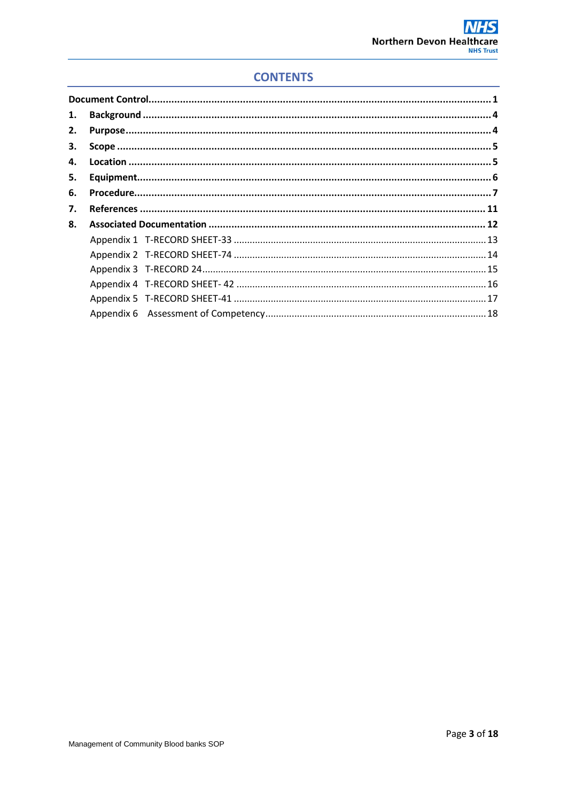# **CONTENTS**

| 1. |  |
|----|--|
| 2. |  |
| 3. |  |
| 4. |  |
| 5. |  |
| 6. |  |
| 7. |  |
| 8. |  |
|    |  |
|    |  |
|    |  |
|    |  |
|    |  |
|    |  |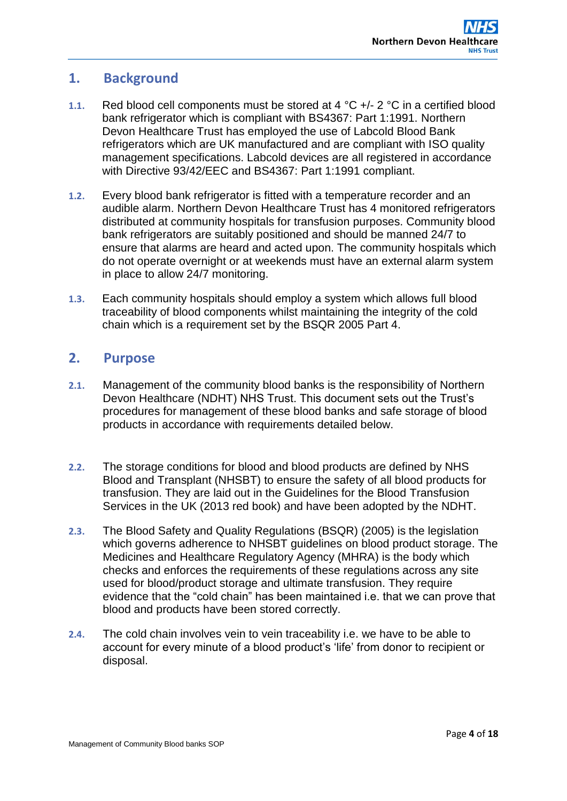# <span id="page-3-0"></span>**1. Background**

- **1.1.** Red blood cell components must be stored at 4 °C +/- 2 °C in a certified blood bank refrigerator which is compliant with BS4367: Part 1:1991. Northern Devon Healthcare Trust has employed the use of Labcold Blood Bank refrigerators which are UK manufactured and are compliant with ISO quality management specifications. Labcold devices are all registered in accordance with Directive 93/42/EEC and BS4367: Part 1:1991 compliant.
- **1.2.** Every blood bank refrigerator is fitted with a temperature recorder and an audible alarm. Northern Devon Healthcare Trust has 4 monitored refrigerators distributed at community hospitals for transfusion purposes. Community blood bank refrigerators are suitably positioned and should be manned 24/7 to ensure that alarms are heard and acted upon. The community hospitals which do not operate overnight or at weekends must have an external alarm system in place to allow 24/7 monitoring.
- **1.3.** Each community hospitals should employ a system which allows full blood traceability of blood components whilst maintaining the integrity of the cold chain which is a requirement set by the BSQR 2005 Part 4.

# <span id="page-3-1"></span>**2. Purpose**

- **2.1.** Management of the community blood banks is the responsibility of Northern Devon Healthcare (NDHT) NHS Trust. This document sets out the Trust's procedures for management of these blood banks and safe storage of blood products in accordance with requirements detailed below.
- **2.2.** The storage conditions for blood and blood products are defined by NHS Blood and Transplant (NHSBT) to ensure the safety of all blood products for transfusion. They are laid out in the Guidelines for the Blood Transfusion Services in the UK (2013 red book) and have been adopted by the NDHT.
- **2.3.** The Blood Safety and Quality Regulations (BSQR) (2005) is the legislation which governs adherence to NHSBT guidelines on blood product storage. The Medicines and Healthcare Regulatory Agency (MHRA) is the body which checks and enforces the requirements of these regulations across any site used for blood/product storage and ultimate transfusion. They require evidence that the "cold chain" has been maintained i.e. that we can prove that blood and products have been stored correctly.
- **2.4.** The cold chain involves vein to vein traceability i.e. we have to be able to account for every minute of a blood product's 'life' from donor to recipient or disposal.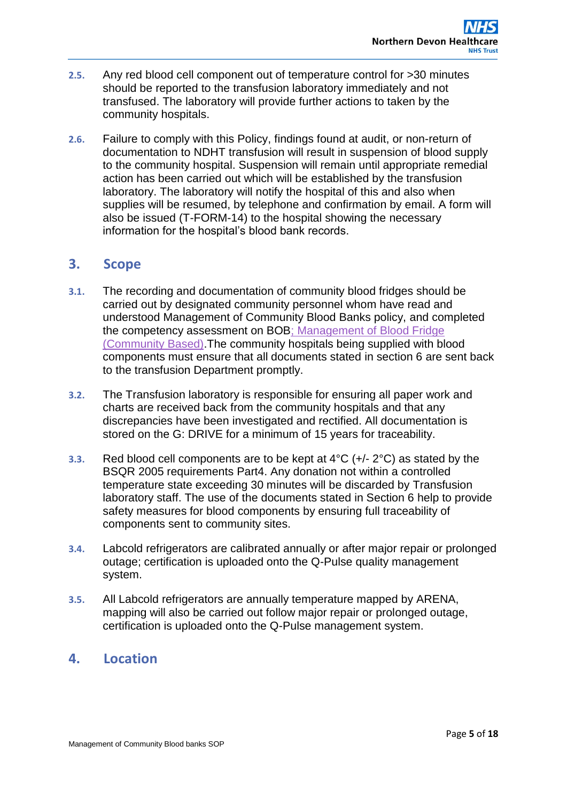- **2.5.** Any red blood cell component out of temperature control for >30 minutes should be reported to the transfusion laboratory immediately and not transfused. The laboratory will provide further actions to taken by the community hospitals.
- **2.6.** Failure to comply with this Policy, findings found at audit, or non-return of documentation to NDHT transfusion will result in suspension of blood supply to the community hospital. Suspension will remain until appropriate remedial action has been carried out which will be established by the transfusion laboratory. The laboratory will notify the hospital of this and also when supplies will be resumed, by telephone and confirmation by email. A form will also be issued (T-FORM-14) to the hospital showing the necessary information for the hospital's blood bank records.

# <span id="page-4-0"></span>**3. Scope**

- **3.1.** The recording and documentation of community blood fridges should be carried out by designated community personnel whom have read and understood Management of Community Blood Banks policy, and completed the competency assessment on BO[B; Management of Blood Fridge](#page-17-0)  [\(Community Based\).](#page-17-0)The community hospitals being supplied with blood components must ensure that all documents stated in section 6 are sent back to the transfusion Department promptly.
- **3.2.** The Transfusion laboratory is responsible for ensuring all paper work and charts are received back from the community hospitals and that any discrepancies have been investigated and rectified. All documentation is stored on the G: DRIVE for a minimum of 15 years for traceability.
- **3.3.** Red blood cell components are to be kept at 4°C (+/- 2°C) as stated by the BSQR 2005 requirements Part4. Any donation not within a controlled temperature state exceeding 30 minutes will be discarded by Transfusion laboratory staff. The use of the documents stated in Section 6 help to provide safety measures for blood components by ensuring full traceability of components sent to community sites.
- **3.4.** Labcold refrigerators are calibrated annually or after major repair or prolonged outage; certification is uploaded onto the Q-Pulse quality management system.
- **3.5.** All Labcold refrigerators are annually temperature mapped by ARENA, mapping will also be carried out follow major repair or prolonged outage, certification is uploaded onto the Q-Pulse management system.

# <span id="page-4-1"></span>**4. Location**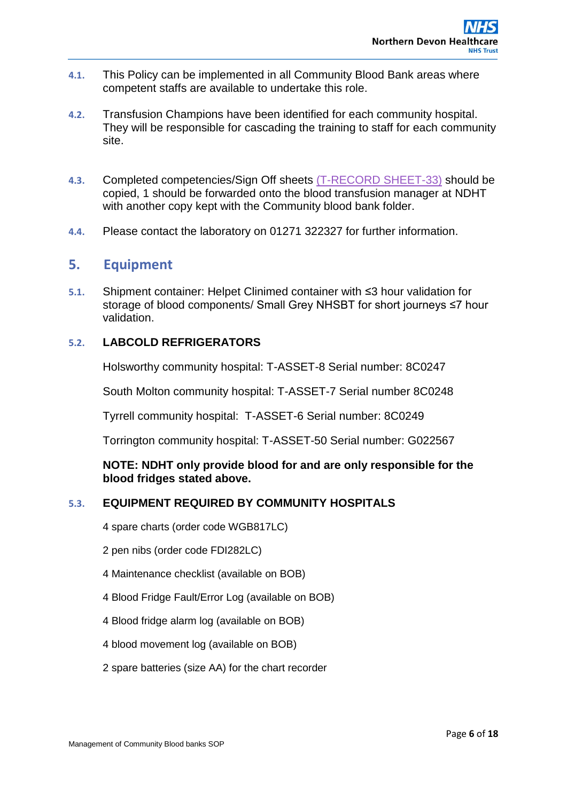- **4.1.** This Policy can be implemented in all Community Blood Bank areas where competent staffs are available to undertake this role.
- **4.2.** Transfusion Champions have been identified for each community hospital. They will be responsible for cascading the training to staff for each community site.
- **4.3.** Completed competencies/Sign Off sheets [\(T-RECORD SHEET-33\)](#page-12-0) should be copied, 1 should be forwarded onto the blood transfusion manager at NDHT with another copy kept with the Community blood bank folder.
- <span id="page-5-0"></span>**4.4.** Please contact the laboratory on 01271 322327 for further information.

# **5. Equipment**

**5.1.** Shipment container: Helpet Clinimed container with ≤3 hour validation for storage of blood components/ Small Grey NHSBT for short journeys ≤7 hour validation.

## **5.2. LABCOLD REFRIGERATORS**

Holsworthy community hospital: T-ASSET-8 Serial number: 8C0247

South Molton community hospital: T-ASSET-7 Serial number 8C0248

Tyrrell community hospital: T-ASSET-6 Serial number: 8C0249

Torrington community hospital: T-ASSET-50 Serial number: G022567

**NOTE: NDHT only provide blood for and are only responsible for the blood fridges stated above.** 

## **5.3. EQUIPMENT REQUIRED BY COMMUNITY HOSPITALS**

4 spare charts (order code WGB817LC)

- 2 pen nibs (order code FDI282LC)
- 4 Maintenance checklist (available on BOB)
- 4 Blood Fridge Fault/Error Log (available on BOB)
- 4 Blood fridge alarm log (available on BOB)
- 4 blood movement log (available on BOB)
- 2 spare batteries (size AA) for the chart recorder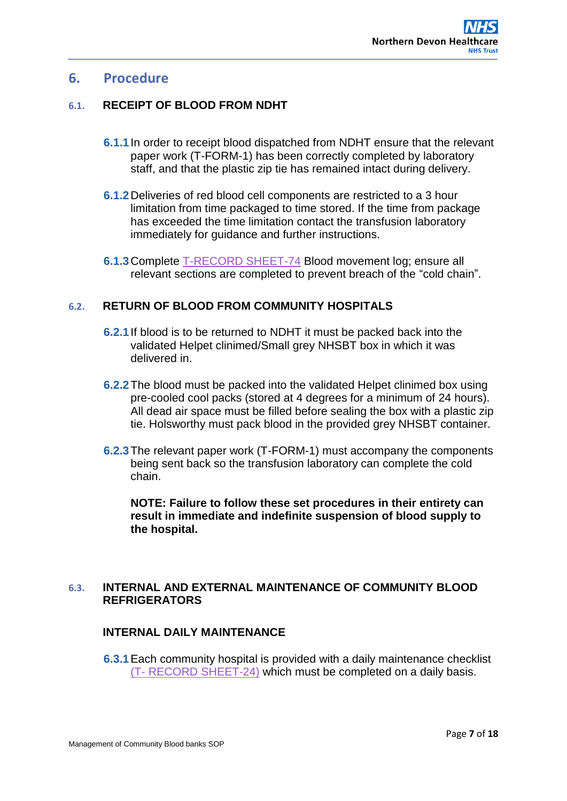# <span id="page-6-0"></span>**6. Procedure**

## **6.1. RECEIPT OF BLOOD FROM NDHT**

- **6.1.1**In order to receipt blood dispatched from NDHT ensure that the relevant paper work (T-FORM-1) has been correctly completed by laboratory staff, and that the plastic zip tie has remained intact during delivery.
- **6.1.2**Deliveries of red blood cell components are restricted to a 3 hour limitation from time packaged to time stored. If the time from package has exceeded the time limitation contact the transfusion laboratory immediately for guidance and further instructions.
- **6.1.3**Complete [T-RECORD SHEET-74](#page-13-0) Blood movement log; ensure all relevant sections are completed to prevent breach of the "cold chain".

## **6.2. RETURN OF BLOOD FROM COMMUNITY HOSPITALS**

- **6.2.1**If blood is to be returned to NDHT it must be packed back into the validated Helpet clinimed/Small grey NHSBT box in which it was delivered in.
- **6.2.2**The blood must be packed into the validated Helpet clinimed box using pre-cooled cool packs (stored at 4 degrees for a minimum of 24 hours). All dead air space must be filled before sealing the box with a plastic zip tie. Holsworthy must pack blood in the provided grey NHSBT container.
- **6.2.3**The relevant paper work (T-FORM-1) must accompany the components being sent back so the transfusion laboratory can complete the cold chain.

**NOTE: Failure to follow these set procedures in their entirety can result in immediate and indefinite suspension of blood supply to the hospital.** 

### **6.3. INTERNAL AND EXTERNAL MAINTENANCE OF COMMUNITY BLOOD REFRIGERATORS**

## **INTERNAL DAILY MAINTENANCE**

**6.3.1**Each community hospital is provided with a daily maintenance checklist (T- [RECORD SHEET-24\)](#page-14-0) which must be completed on a daily basis.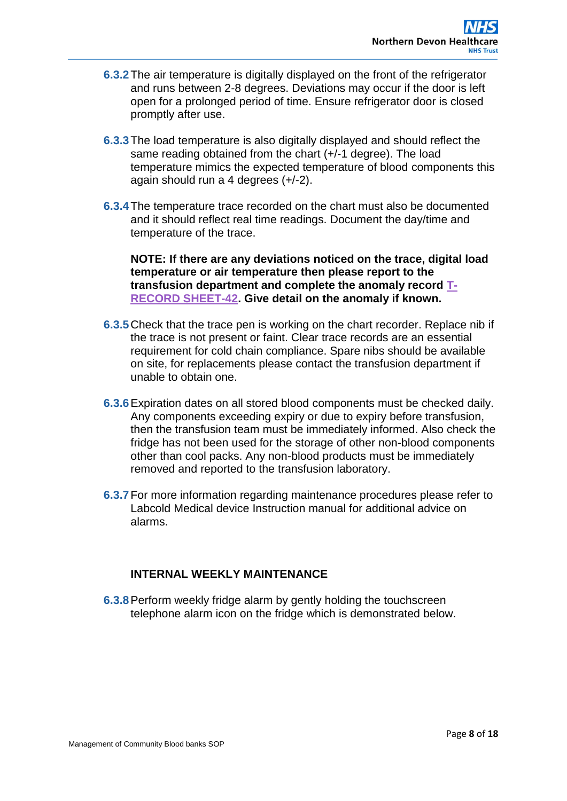- **6.3.2**The air temperature is digitally displayed on the front of the refrigerator and runs between 2-8 degrees. Deviations may occur if the door is left open for a prolonged period of time. Ensure refrigerator door is closed promptly after use.
- **6.3.3**The load temperature is also digitally displayed and should reflect the same reading obtained from the chart (+/-1 degree). The load temperature mimics the expected temperature of blood components this again should run a 4 degrees (+/-2).
- **6.3.4**The temperature trace recorded on the chart must also be documented and it should reflect real time readings. Document the day/time and temperature of the trace.

**NOTE: If there are any deviations noticed on the trace, digital load temperature or air temperature then please report to the transfusion department and complete the anomaly record [T-](#page-15-0)[RECORD SHEET-42.](#page-15-0) Give detail on the anomaly if known.** 

- **6.3.5**Check that the trace pen is working on the chart recorder. Replace nib if the trace is not present or faint. Clear trace records are an essential requirement for cold chain compliance. Spare nibs should be available on site, for replacements please contact the transfusion department if unable to obtain one.
- **6.3.6**Expiration dates on all stored blood components must be checked daily. Any components exceeding expiry or due to expiry before transfusion, then the transfusion team must be immediately informed. Also check the fridge has not been used for the storage of other non-blood components other than cool packs. Any non-blood products must be immediately removed and reported to the transfusion laboratory.
- **6.3.7**For more information regarding maintenance procedures please refer to Labcold Medical device Instruction manual for additional advice on alarms.

## **INTERNAL WEEKLY MAINTENANCE**

**6.3.8**Perform weekly fridge alarm by gently holding the touchscreen telephone alarm icon on the fridge which is demonstrated below.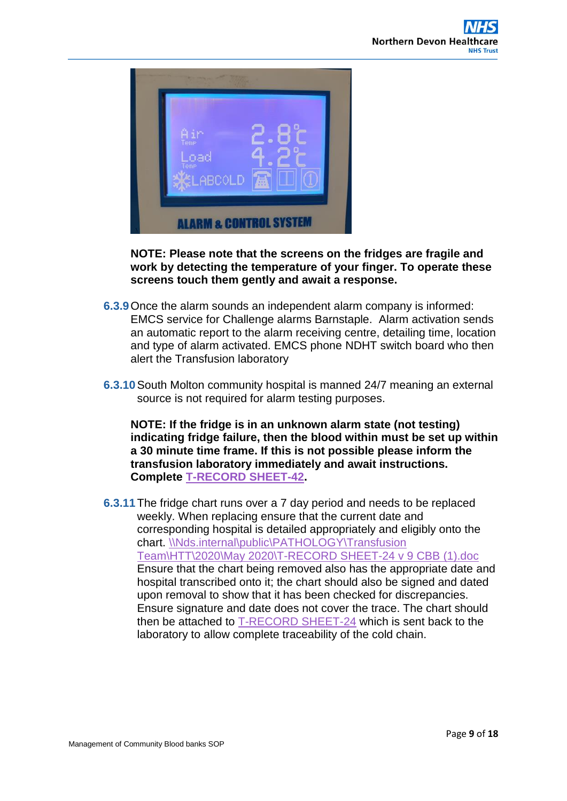

**NOTE: Please note that the screens on the fridges are fragile and work by detecting the temperature of your finger. To operate these screens touch them gently and await a response.** 

- **6.3.9**Once the alarm sounds an independent alarm company is informed: EMCS service for Challenge alarms Barnstaple. Alarm activation sends an automatic report to the alarm receiving centre, detailing time, location and type of alarm activated. EMCS phone NDHT switch board who then alert the Transfusion laboratory
- **6.3.10**South Molton community hospital is manned 24/7 meaning an external source is not required for alarm testing purposes.

**NOTE: If the fridge is in an unknown alarm state (not testing) indicating fridge failure, then the blood within must be set up within a 30 minute time frame. If this is not possible please inform the transfusion laboratory immediately and await instructions. Complete [T-RECORD SHEET-42.](#page-15-0)**

**6.3.11**The fridge chart runs over a 7 day period and needs to be replaced weekly. When replacing ensure that the current date and corresponding hospital is detailed appropriately and eligibly onto the chart. [\\Nds.internal\public\PATHOLOGY\Transfusion](file://Nds.internal/public/PATHOLOGY/Transfusion%20Team/HTT/2020/May%202020/T-RECORD%20SHEET-24%20v%209%20CBB%20(1).doc)  [Team\HTT\2020\May 2020\T-RECORD SHEET-24 v 9 CBB \(1\).doc](file://Nds.internal/public/PATHOLOGY/Transfusion%20Team/HTT/2020/May%202020/T-RECORD%20SHEET-24%20v%209%20CBB%20(1).doc) Ensure that the chart being removed also has the appropriate date and hospital transcribed onto it; the chart should also be signed and dated upon removal to show that it has been checked for discrepancies. Ensure signature and date does not cover the trace. The chart should then be attached to [T-RECORD SHEET-24](#page-14-0) which is sent back to the laboratory to allow complete traceability of the cold chain.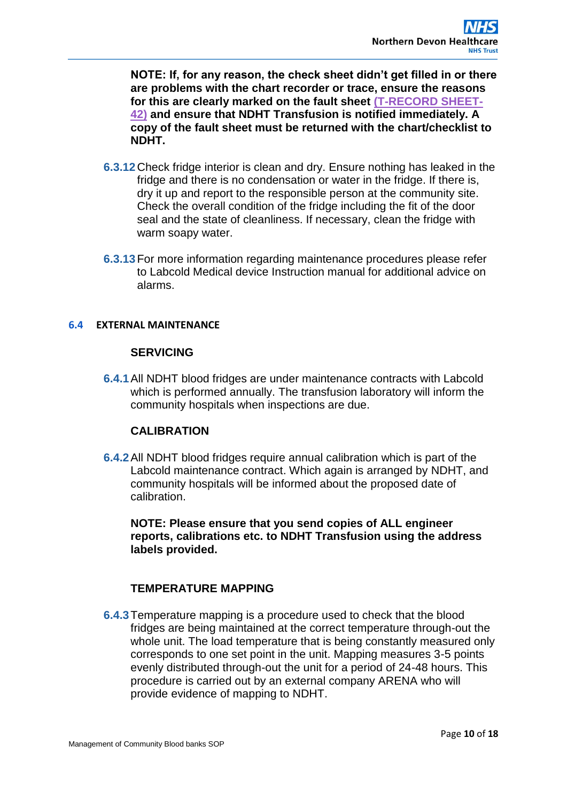**NOTE: If, for any reason, the check sheet didn't get filled in or there are problems with the chart recorder or trace, ensure the reasons for this are clearly marked on the fault sheet [\(T-RECORD SHEET-](#page-15-0)[42\)](#page-15-0) and ensure that NDHT Transfusion is notified immediately. A copy of the fault sheet must be returned with the chart/checklist to NDHT.**

- **6.3.12** Check fridge interior is clean and dry. Ensure nothing has leaked in the fridge and there is no condensation or water in the fridge. If there is, dry it up and report to the responsible person at the community site. Check the overall condition of the fridge including the fit of the door seal and the state of cleanliness. If necessary, clean the fridge with warm soapy water.
- **6.3.13**For more information regarding maintenance procedures please refer to Labcold Medical device Instruction manual for additional advice on alarms.

#### **6.4 EXTERNAL MAINTENANCE**

#### **SERVICING**

**6.4.1**All NDHT blood fridges are under maintenance contracts with Labcold which is performed annually. The transfusion laboratory will inform the community hospitals when inspections are due.

#### **CALIBRATION**

**6.4.2**All NDHT blood fridges require annual calibration which is part of the Labcold maintenance contract. Which again is arranged by NDHT, and community hospitals will be informed about the proposed date of calibration.

**NOTE: Please ensure that you send copies of ALL engineer reports, calibrations etc. to NDHT Transfusion using the address labels provided.**

#### **TEMPERATURE MAPPING**

**6.4.3**Temperature mapping is a procedure used to check that the blood fridges are being maintained at the correct temperature through-out the whole unit. The load temperature that is being constantly measured only corresponds to one set point in the unit. Mapping measures 3-5 points evenly distributed through-out the unit for a period of 24-48 hours. This procedure is carried out by an external company ARENA who will provide evidence of mapping to NDHT.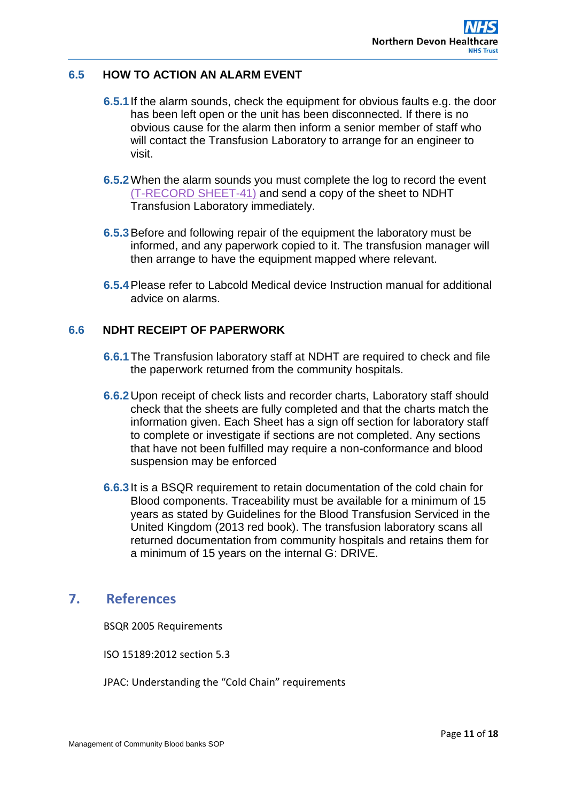## **6.5 HOW TO ACTION AN ALARM EVENT**

- **6.5.1**If the alarm sounds, check the equipment for obvious faults e.g. the door has been left open or the unit has been disconnected. If there is no obvious cause for the alarm then inform a senior member of staff who will contact the Transfusion Laboratory to arrange for an engineer to visit.
- **6.5.2**When the alarm sounds you must complete the log to record the event [\(T-RECORD SHEET-41\)](#page-16-1) and send a copy of the sheet to NDHT Transfusion Laboratory immediately.
- **6.5.3**Before and following repair of the equipment the laboratory must be informed, and any paperwork copied to it. The transfusion manager will then arrange to have the equipment mapped where relevant.
- **6.5.4**Please refer to Labcold Medical device Instruction manual for additional advice on alarms.

## **6.6 NDHT RECEIPT OF PAPERWORK**

- **6.6.1**The Transfusion laboratory staff at NDHT are required to check and file the paperwork returned from the community hospitals.
- **6.6.2**Upon receipt of check lists and recorder charts, Laboratory staff should check that the sheets are fully completed and that the charts match the information given. Each Sheet has a sign off section for laboratory staff to complete or investigate if sections are not completed. Any sections that have not been fulfilled may require a non-conformance and blood suspension may be enforced
- **6.6.3**It is a BSQR requirement to retain documentation of the cold chain for Blood components. Traceability must be available for a minimum of 15 years as stated by Guidelines for the Blood Transfusion Serviced in the United Kingdom (2013 red book). The transfusion laboratory scans all returned documentation from community hospitals and retains them for a minimum of 15 years on the internal G: DRIVE.

# <span id="page-10-0"></span>**7. References**

BSQR 2005 Requirements

ISO 15189:2012 section 5.3

JPAC: Understanding the "Cold Chain" requirements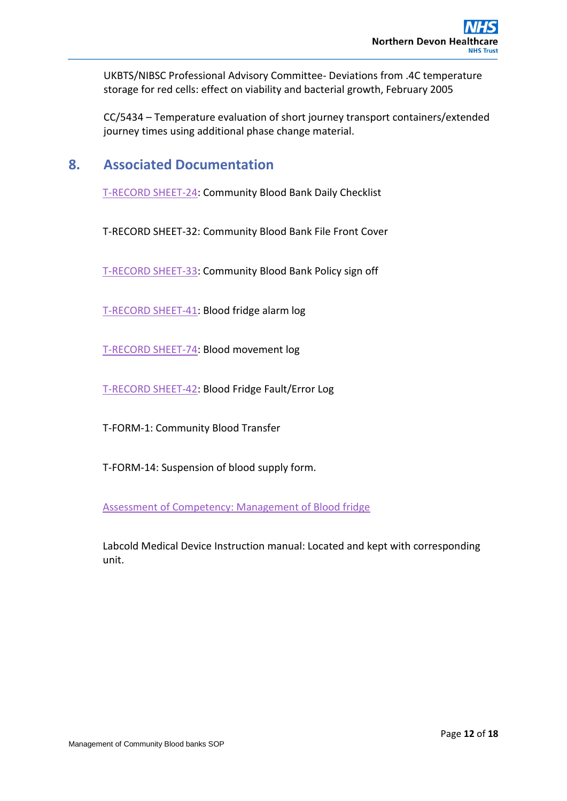UKBTS/NIBSC Professional Advisory Committee- Deviations from .4C temperature storage for red cells: effect on viability and bacterial growth, February 2005

CC/5434 – Temperature evaluation of short journey transport containers/extended journey times using additional phase change material.

# <span id="page-11-0"></span>**8. Associated Documentation**

[T-RECORD SHEET-24:](#page-14-0) Community Blood Bank Daily Checklist

T-RECORD SHEET-32: Community Blood Bank File Front Cover

[T-RECORD SHEET-33:](#page-12-0) Community Blood Bank Policy sign off

[T-RECORD SHEET-41:](#page-16-1) Blood fridge alarm log

[T-RECORD SHEET-74:](#page-13-0) Blood movement log

[T-RECORD SHEET-42:](#page-15-0) Blood Fridge Fault/Error Log

T-FORM-1: Community Blood Transfer

T-FORM-14: Suspension of blood supply form.

[Assessment of Competency: Management of Blood fridge](#page-17-0)

Labcold Medical Device Instruction manual: Located and kept with corresponding unit.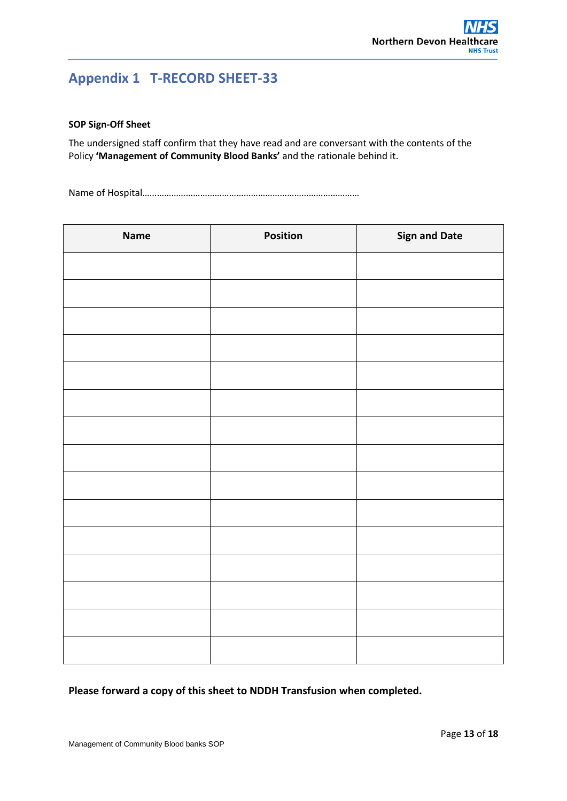# <span id="page-12-0"></span>**Appendix 1 T-RECORD SHEET-33**

#### **SOP Sign-Off Sheet**

The undersigned staff confirm that they have read and are conversant with the contents of the Policy **'Management of Community Blood Banks'** and the rationale behind it.

Name of Hospital………………………………………………………………………………

| <b>Name</b> | Position | <b>Sign and Date</b> |
|-------------|----------|----------------------|
|             |          |                      |
|             |          |                      |
|             |          |                      |
|             |          |                      |
|             |          |                      |
|             |          |                      |
|             |          |                      |
|             |          |                      |
|             |          |                      |
|             |          |                      |
|             |          |                      |
|             |          |                      |
|             |          |                      |
|             |          |                      |
|             |          |                      |

**Please forward a copy of this sheet to NDDH Transfusion when completed.**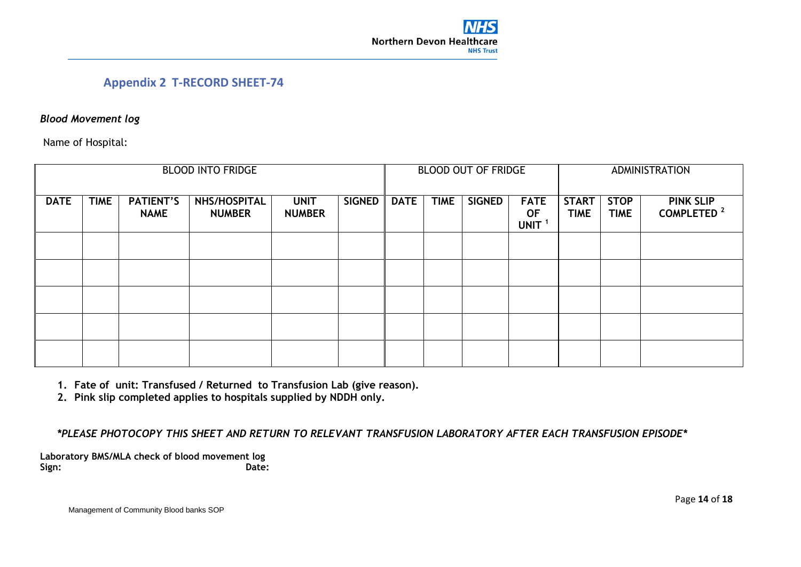## **Appendix 2 T-RECORD SHEET-74**

### *Blood Movement log*

Name of Hospital:

| <b>BLOOD INTO FRIDGE</b> |             |                                 |                               |                              | <b>BLOOD OUT OF FRIDGE</b> |             |             |               | <b>ADMINISTRATION</b>                         |                             |                            |                                            |
|--------------------------|-------------|---------------------------------|-------------------------------|------------------------------|----------------------------|-------------|-------------|---------------|-----------------------------------------------|-----------------------------|----------------------------|--------------------------------------------|
| <b>DATE</b>              | <b>TIME</b> | <b>PATIENT'S</b><br><b>NAME</b> | NHS/HOSPITAL<br><b>NUMBER</b> | <b>UNIT</b><br><b>NUMBER</b> | <b>SIGNED</b>              | <b>DATE</b> | <b>TIME</b> | <b>SIGNED</b> | <b>FATE</b><br><b>OF</b><br>UNIT <sup>1</sup> | <b>START</b><br><b>TIME</b> | <b>STOP</b><br><b>TIME</b> | <b>PINK SLIP</b><br>COMPLETED <sup>2</sup> |
|                          |             |                                 |                               |                              |                            |             |             |               |                                               |                             |                            |                                            |
|                          |             |                                 |                               |                              |                            |             |             |               |                                               |                             |                            |                                            |
|                          |             |                                 |                               |                              |                            |             |             |               |                                               |                             |                            |                                            |
|                          |             |                                 |                               |                              |                            |             |             |               |                                               |                             |                            |                                            |
|                          |             |                                 |                               |                              |                            |             |             |               |                                               |                             |                            |                                            |

- <span id="page-13-0"></span>**1. Fate of unit: Transfused / Returned to Transfusion Lab (give reason).**
- **2. Pink slip completed applies to hospitals supplied by NDDH only.**

*\*PLEASE PHOTOCOPY THIS SHEET AND RETURN TO RELEVANT TRANSFUSION LABORATORY AFTER EACH TRANSFUSION EPISODE\**

**Laboratory BMS/MLA check of blood movement log Sign: Date:**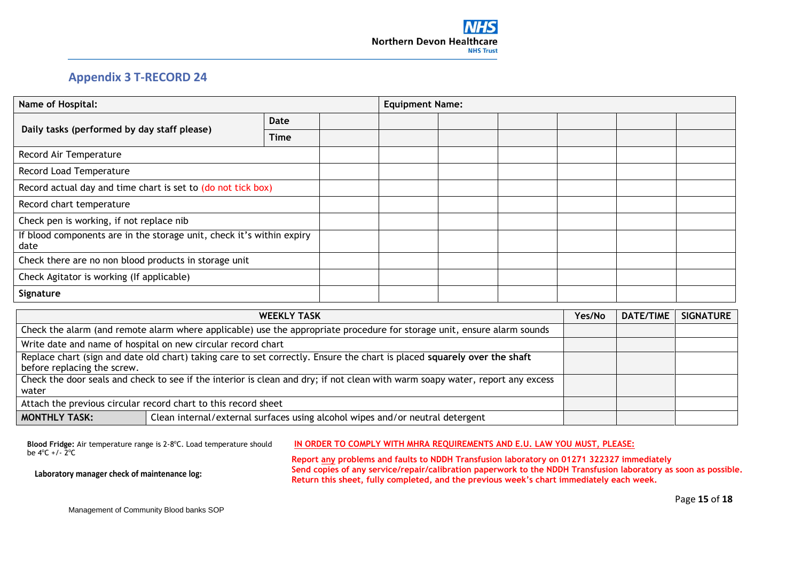

# **Appendix 3 T-RECORD 24**

| Name of Hospital:                                                             |             |  | <b>Equipment Name:</b> |  |  |  |  |  |
|-------------------------------------------------------------------------------|-------------|--|------------------------|--|--|--|--|--|
| Daily tasks (performed by day staff please)                                   | Date        |  |                        |  |  |  |  |  |
|                                                                               | <b>Time</b> |  |                        |  |  |  |  |  |
| Record Air Temperature                                                        |             |  |                        |  |  |  |  |  |
| Record Load Temperature                                                       |             |  |                        |  |  |  |  |  |
| Record actual day and time chart is set to (do not tick box)                  |             |  |                        |  |  |  |  |  |
| Record chart temperature                                                      |             |  |                        |  |  |  |  |  |
| Check pen is working, if not replace nib                                      |             |  |                        |  |  |  |  |  |
| If blood components are in the storage unit, check it's within expiry<br>date |             |  |                        |  |  |  |  |  |
| Check there are no non blood products in storage unit                         |             |  |                        |  |  |  |  |  |
| Check Agitator is working (If applicable)                                     |             |  |                        |  |  |  |  |  |
| Signature                                                                     |             |  |                        |  |  |  |  |  |

<span id="page-14-0"></span>

| <b>WEEKLY TASK</b>                                                                                                            | Yes/No | <b>DATE/TIME</b> | <b>SIGNATURE</b> |
|-------------------------------------------------------------------------------------------------------------------------------|--------|------------------|------------------|
| Check the alarm (and remote alarm where applicable) use the appropriate procedure for storage unit, ensure alarm sounds       |        |                  |                  |
| Write date and name of hospital on new circular record chart                                                                  |        |                  |                  |
| Replace chart (sign and date old chart) taking care to set correctly. Ensure the chart is placed squarely over the shaft      |        |                  |                  |
| before replacing the screw.                                                                                                   |        |                  |                  |
| Check the door seals and check to see if the interior is clean and dry; if not clean with warm soapy water, report any excess |        |                  |                  |
| water                                                                                                                         |        |                  |                  |
| Attach the previous circular record chart to this record sheet                                                                |        |                  |                  |
| Clean internal/external surfaces using alcohol wipes and/or neutral detergent<br><b>MONTHLY TASK:</b>                         |        |                  |                  |

| Blood Fridge: Air temperature range is 2-8°C. Load temperature should | IN ORDER TO COMPLY WITH MHRA REQUIREMENTS AND E.U. LAW YOU MUST, PLEASE:          |
|-----------------------------------------------------------------------|-----------------------------------------------------------------------------------|
| be $4^{\circ}C$ +/- $2^{\circ}C$                                      | Report any problems and faults to NDDH Transfusion laboratory on 01271 322327 imp |

**Laboratory manager check of maintenance log:** 

**Report any problems and faults to NDDH Transfusion laboratory on 01271 322327 immediately Send copies of any service/repair/calibration paperwork to the NDDH Transfusion laboratory as soon as possible. Return this sheet, fully completed, and the previous week's chart immediately each week.**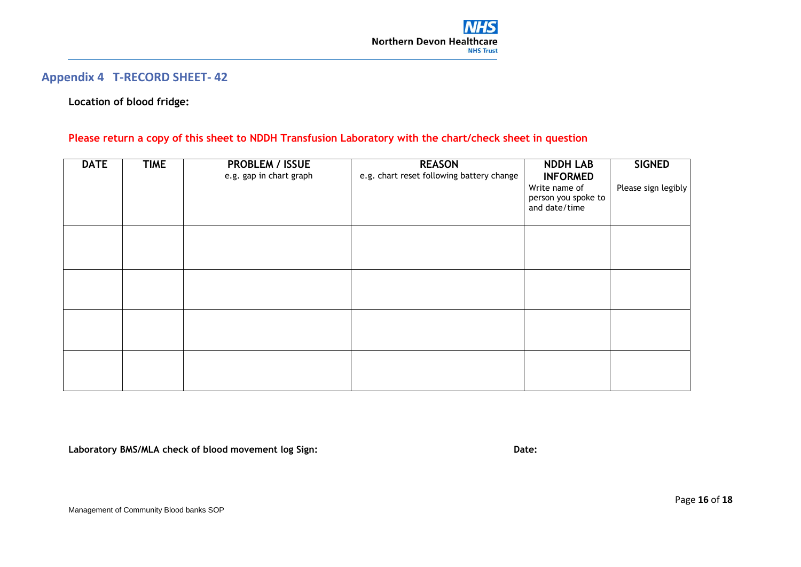## **Appendix 4 T-RECORD SHEET- 42**

### **Location of blood fridge:**

### **Please return a copy of this sheet to NDDH Transfusion Laboratory with the chart/check sheet in question**

| <b>DATE</b> | <b>TIME</b> | <b>PROBLEM / ISSUE</b><br>e.g. gap in chart graph | <b>REASON</b><br>e.g. chart reset following battery change | <b>NDDH LAB</b><br><b>INFORMED</b><br>Write name of<br>person you spoke to<br>and date/time | <b>SIGNED</b><br>Please sign legibly |
|-------------|-------------|---------------------------------------------------|------------------------------------------------------------|---------------------------------------------------------------------------------------------|--------------------------------------|
|             |             |                                                   |                                                            |                                                                                             |                                      |
|             |             |                                                   |                                                            |                                                                                             |                                      |
|             |             |                                                   |                                                            |                                                                                             |                                      |
|             |             |                                                   |                                                            |                                                                                             |                                      |

<span id="page-15-0"></span>**Laboratory BMS/MLA check of blood movement log Sign: Date:**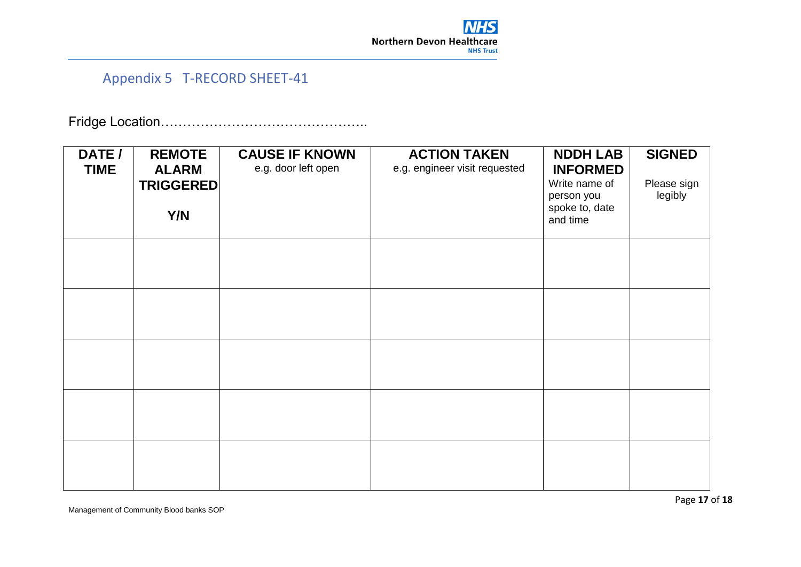

# Appendix 5 T-RECORD SHEET-41

Fridge Location………………………………………..

<span id="page-16-1"></span><span id="page-16-0"></span>

| DATE /<br><b>TIME</b> | <b>REMOTE</b><br><b>ALARM</b> | <b>CAUSE IF KNOWN</b><br>e.g. door left open | <b>ACTION TAKEN</b><br>e.g. engineer visit requested | <b>NDDH LAB</b><br><b>INFORMED</b><br>Write name of | <b>SIGNED</b><br>Please sign |
|-----------------------|-------------------------------|----------------------------------------------|------------------------------------------------------|-----------------------------------------------------|------------------------------|
|                       | <b>TRIGGERED</b><br>Y/N       |                                              |                                                      | person you<br>spoke to, date<br>and time            | legibly                      |
|                       |                               |                                              |                                                      |                                                     |                              |
|                       |                               |                                              |                                                      |                                                     |                              |
|                       |                               |                                              |                                                      |                                                     |                              |
|                       |                               |                                              |                                                      |                                                     |                              |
|                       |                               |                                              |                                                      |                                                     |                              |

Management of Community Blood banks SOP